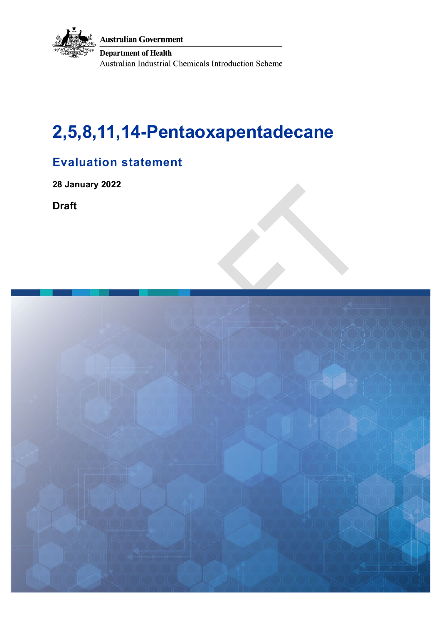

# **2,5,8,11,14-Pentaoxapentadecane**

## **Evaluation statement**

**28 January 2022** 

**Draft**

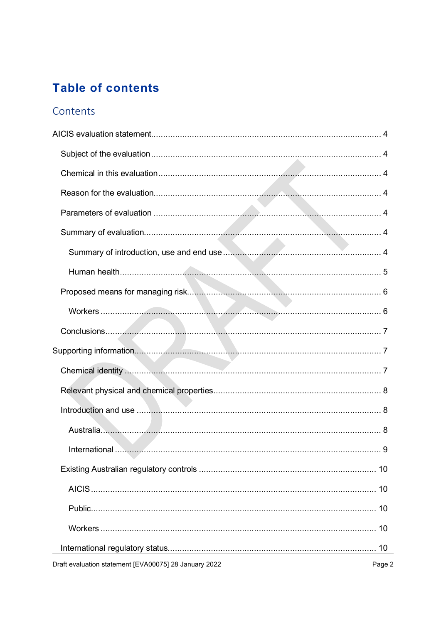## **Table of contents**

### Contents

| Draft evaluation statement [EVA00075] 28 January 2022 | Page 2 |
|-------------------------------------------------------|--------|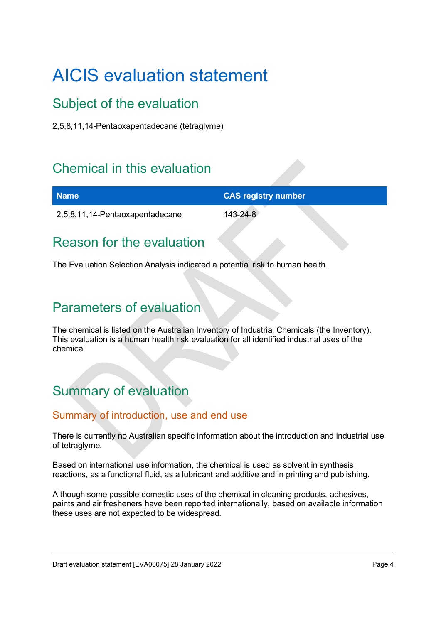# <span id="page-3-0"></span>AICIS evaluation statement

## <span id="page-3-1"></span>Subject of the evaluation

2,5,8,11,14-Pentaoxapentadecane (tetraglyme)

## <span id="page-3-2"></span>Chemical in this evaluation

| <b>Name</b>                     | <b>CAS registry number</b> |
|---------------------------------|----------------------------|
| 2,5,8,11,14-Pentaoxapentadecane | 143-24-8                   |

## <span id="page-3-3"></span>Reason for the evaluation

The Evaluation Selection Analysis indicated a potential risk to human health.

## <span id="page-3-4"></span>Parameters of evaluation

The chemical is listed on the Australian Inventory of Industrial Chemicals (the Inventory). This evaluation is a human health risk evaluation for all identified industrial uses of the chemical.

## <span id="page-3-5"></span>Summary of evaluation

### <span id="page-3-6"></span>Summary of introduction, use and end use

There is currently no Australian specific information about the introduction and industrial use of tetraglyme.

Based on international use information, the chemical is used as solvent in synthesis reactions, as a functional fluid, as a lubricant and additive and in printing and publishing.

Although some possible domestic uses of the chemical in cleaning products, adhesives, paints and air fresheners have been reported internationally, based on available information these uses are not expected to be widespread.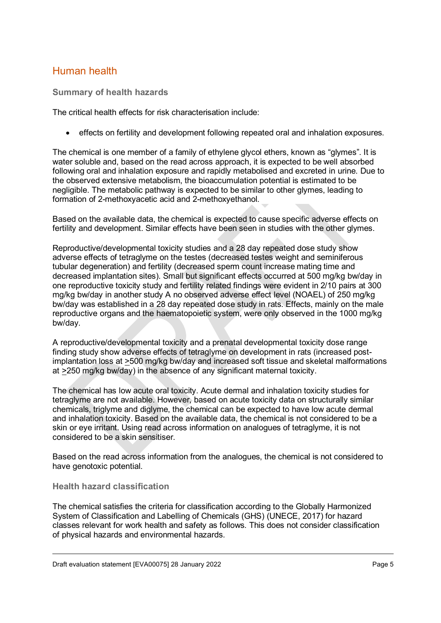### <span id="page-4-0"></span>Human health

**Summary of health hazards**

The critical health effects for risk characterisation include:

• effects on fertility and development following repeated oral and inhalation exposures.

The chemical is one member of a family of ethylene glycol ethers, known as "glymes". It is water soluble and, based on the read across approach, it is expected to be well absorbed following oral and inhalation exposure and rapidly metabolised and excreted in urine. Due to the observed extensive metabolism, the bioaccumulation potential is estimated to be negligible. The metabolic pathway is expected to be similar to other glymes, leading to formation of 2-methoxyacetic acid and 2-methoxyethanol.

Based on the available data, the chemical is expected to cause specific adverse effects on fertility and development. Similar effects have been seen in studies with the other glymes.

Reproductive/developmental toxicity studies and a 28 day repeated dose study show adverse effects of tetraglyme on the testes (decreased testes weight and seminiferous tubular degeneration) and fertility (decreased sperm count increase mating time and decreased implantation sites). Small but significant effects occurred at 500 mg/kg bw/day in one reproductive toxicity study and fertility related findings were evident in 2/10 pairs at 300 mg/kg bw/day in another study A no observed adverse effect level (NOAEL) of 250 mg/kg bw/day was established in a 28 day repeated dose study in rats. Effects, mainly on the male reproductive organs and the haematopoietic system, were only observed in the 1000 mg/kg bw/day.

A reproductive/developmental toxicity and a prenatal developmental toxicity dose range finding study show adverse effects of tetraglyme on development in rats (increased postimplantation loss at >500 mg/kg bw/day and increased soft tissue and skeletal malformations at >250 mg/kg bw/day) in the absence of any significant maternal toxicity.

The chemical has low acute oral toxicity. Acute dermal and inhalation toxicity studies for tetraglyme are not available. However, based on acute toxicity data on structurally similar chemicals, triglyme and diglyme, the chemical can be expected to have low acute dermal and inhalation toxicity. Based on the available data, the chemical is not considered to be a skin or eye irritant. Using read across information on analogues of tetraglyme, it is not considered to be a skin sensitiser.

Based on the read across information from the analogues, the chemical is not considered to have genotoxic potential.

#### **Health hazard classification**

The chemical satisfies the criteria for classification according to the Globally Harmonized System of Classification and Labelling of Chemicals (GHS) (UNECE, 2017) for hazard classes relevant for work health and safety as follows. This does not consider classification of physical hazards and environmental hazards.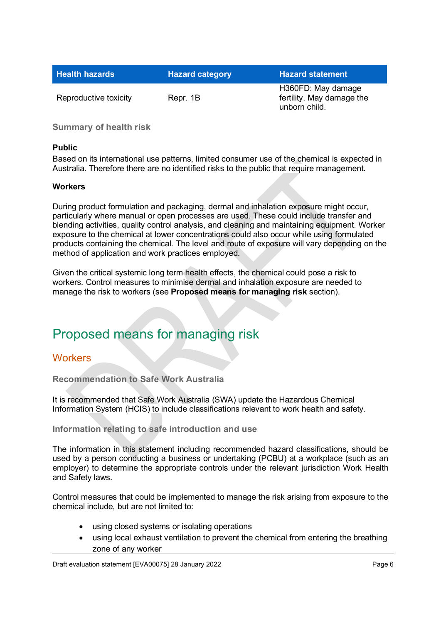| <b>Health hazards</b> | <b>Hazard category</b> | <b>Hazard statement</b>                                          |
|-----------------------|------------------------|------------------------------------------------------------------|
| Reproductive toxicity | Repr. 1B               | H360FD: May damage<br>fertility. May damage the<br>unborn child. |

**Summary of health risk**

#### **Public**

Based on its international use patterns, limited consumer use of the chemical is expected in Australia. Therefore there are no identified risks to the public that require management.

#### **Workers**

During product formulation and packaging, dermal and inhalation exposure might occur, particularly where manual or open processes are used. These could include transfer and blending activities, quality control analysis, and cleaning and maintaining equipment. Worker exposure to the chemical at lower concentrations could also occur while using formulated products containing the chemical. The level and route of exposure will vary depending on the method of application and work practices employed.

Given the critical systemic long term health effects, the chemical could pose a risk to workers. Control measures to minimise dermal and inhalation exposure are needed to manage the risk to workers (see **Proposed means for managing risk** section).

## <span id="page-5-0"></span>Proposed means for managing risk

#### <span id="page-5-1"></span>**Workers**

**Recommendation to Safe Work Australia**

It is recommended that Safe Work Australia (SWA) update the Hazardous Chemical Information System (HCIS) to include classifications relevant to work health and safety.

#### **Information relating to safe introduction and use**

The information in this statement including recommended hazard classifications, should be used by a person conducting a business or undertaking (PCBU) at a workplace (such as an employer) to determine the appropriate controls under the relevant jurisdiction Work Health and Safety laws.

Control measures that could be implemented to manage the risk arising from exposure to the chemical include, but are not limited to:

- using closed systems or isolating operations
- using local exhaust ventilation to prevent the chemical from entering the breathing zone of any worker

Draft evaluation statement [EVA00075] 28 January 2022 **Page 6** and the statement of the statement of the statement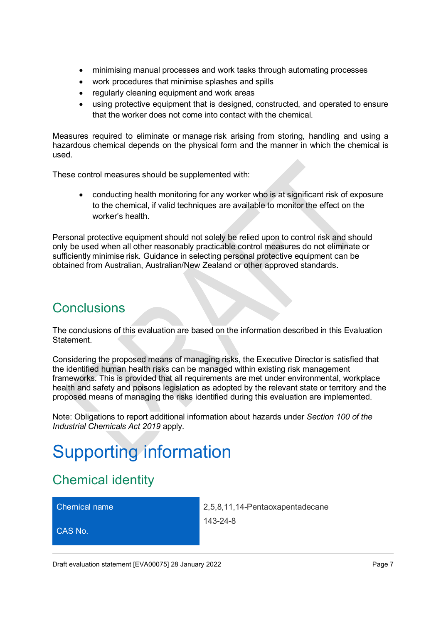- minimising manual processes and work tasks through automating processes
- work procedures that minimise splashes and spills
- regularly cleaning equipment and work areas
- using protective equipment that is designed, constructed, and operated to ensure that the worker does not come into contact with the chemical.

Measures required to eliminate or manage risk arising from storing, handling and using a hazardous chemical depends on the physical form and the manner in which the chemical is used.

These control measures should be supplemented with:

• conducting health monitoring for any worker who is at significant risk of exposure to the chemical, if valid techniques are available to monitor the effect on the worker's health.

Personal protective equipment should not solely be relied upon to control risk and should only be used when all other reasonably practicable control measures do not eliminate or sufficiently minimise risk. Guidance in selecting personal protective equipment can be obtained from Australian, Australian/New Zealand or other approved standards.

## <span id="page-6-0"></span>**Conclusions**

The conclusions of this evaluation are based on the information described in this Evaluation Statement.

Considering the proposed means of managing risks, the Executive Director is satisfied that the identified human health risks can be managed within existing risk management frameworks. This is provided that all requirements are met under environmental, workplace health and safety and poisons legislation as adopted by the relevant state or territory and the proposed means of managing the risks identified during this evaluation are implemented.

Note: Obligations to report additional information about hazards under *Section 100 of the Industrial Chemicals Act 2019* apply.

# <span id="page-6-1"></span>Supporting information

## <span id="page-6-2"></span>Chemical identity

CAS No.

Chemical name 2,5,8,11,14-Pentaoxapentadecane 143-24-8

Draft evaluation statement [EVA00075] 28 January 2022 **Page 7** November 2022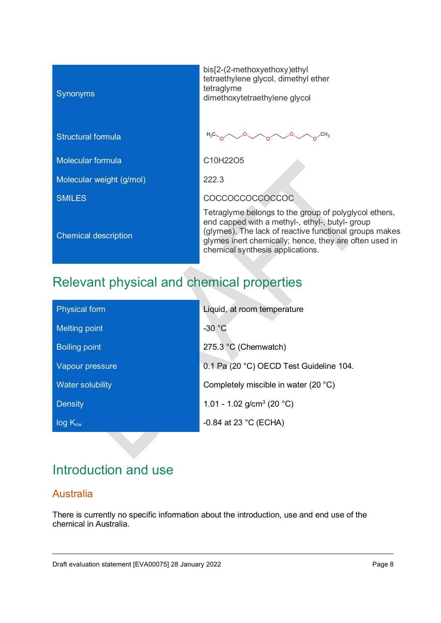| <b>Synonyms</b>             | $bis[2-$<br>tetrae<br>tetrag<br>dimet    |
|-----------------------------|------------------------------------------|
| <b>Structural formula</b>   | $H_3C$                                   |
| <b>Molecular formula</b>    | C <sub>10</sub> H                        |
| Molecular weight (g/mol)    | 222.3                                    |
| <b>SMILES</b>               | COC                                      |
| <b>Chemical description</b> | Tetra<br>end c<br>(glym<br>glyme<br>chem |

bis[2-(2-methoxyethoxy)ethyl tetraethylene glycol, dimethyl ether tetraglyme dimethoxytetraethylene glycol

 $\sim$ o<sup>CH<sub>3</sub></sup>  $\Omega$  $H_3C$ 

C10H22O5

COCCOCCOCCOCCOC

Tetraglyme belongs to the group of polyglycol ethers, end capped with a methyl-, ethyl-, butyl- group (glymes). The lack of reactive functional groups makes glymes inert chemically; hence, they are often used in chemical synthesis applications.

## <span id="page-7-0"></span>Relevant physical and chemical properties

| <b>Physical form</b> | Liquid, at room temperature             |
|----------------------|-----------------------------------------|
| <b>Melting point</b> | $-30 °C$                                |
| <b>Boiling point</b> | 275.3 °C (Chemwatch)                    |
| Vapour pressure      | 0.1 Pa (20 °C) OECD Test Guideline 104. |
| Water solubility     | Completely miscible in water (20 °C)    |
| <b>Density</b>       | 1.01 - 1.02 g/cm <sup>3</sup> (20 °C)   |
| $log K_{ow}$         | -0.84 at 23 $^{\circ}$ C (ECHA)         |

## <span id="page-7-1"></span>Introduction and use

### <span id="page-7-2"></span>Australia

There is currently no specific information about the introduction, use and end use of the chemical in Australia.

Draft evaluation statement [EVA00075] 28 January 2022 **Page 8** and 2022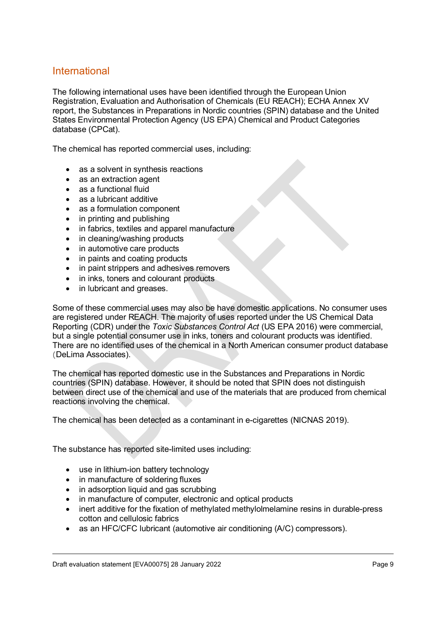#### <span id="page-8-0"></span>International

The following international uses have been identified through the European Union Registration, Evaluation and Authorisation of Chemicals (EU REACH); ECHA Annex XV report, the Substances in Preparations in Nordic countries (SPIN) database and the United States Environmental Protection Agency (US EPA) Chemical and Product Categories database (CPCat).

The chemical has reported commercial uses, including:

- as a solvent in synthesis reactions
- as an extraction agent
- as a functional fluid
- as a lubricant additive
- as a formulation component
- in printing and publishing
- in fabrics, textiles and apparel manufacture
- in cleaning/washing products
- in automotive care products
- in paints and coating products
- in paint strippers and adhesives removers
- in inks, toners and colourant products
- in lubricant and greases.

Some of these commercial uses may also be have domestic applications. No consumer uses are registered under REACH. The majority of uses reported under the US Chemical Data Reporting (CDR) under the *Toxic Substances Control Act* (US EPA 2016) were commercial, but a single potential consumer use in inks, toners and colourant products was identified. There are no identified uses of the chemical in a North American consumer product database (DeLima Associates).

The chemical has reported domestic use in the Substances and Preparations in Nordic countries (SPIN) database. However, it should be noted that SPIN does not distinguish between direct use of the chemical and use of the materials that are produced from chemical reactions involving the chemical.

The chemical has been detected as a contaminant in e-cigarettes (NICNAS 2019).

The substance has reported site-limited uses including:

- use in lithium-ion battery technology
- in manufacture of soldering fluxes
- in adsorption liquid and gas scrubbing
- in manufacture of computer, electronic and optical products
- inert additive for the fixation of methylated methylolmelamine resins in durable-press cotton and cellulosic fabrics
- as an HFC/CFC lubricant (automotive air conditioning (A/C) compressors).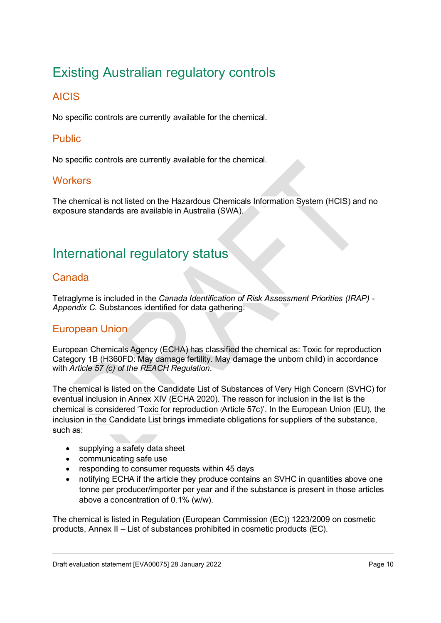## <span id="page-9-0"></span>Existing Australian regulatory controls

### <span id="page-9-1"></span>AICIS

No specific controls are currently available for the chemical.

### <span id="page-9-2"></span>Public

No specific controls are currently available for the chemical.

### <span id="page-9-3"></span>**Workers**

The chemical is not listed on the Hazardous Chemicals Information System (HCIS) and no exposure standards are available in Australia (SWA).

## <span id="page-9-4"></span>International regulatory status

### <span id="page-9-5"></span>Canada

Tetraglyme is included in the *Canada Identification of Risk Assessment Priorities (IRAP) - Appendix C*. Substances identified for data gathering.

### <span id="page-9-6"></span>European Union

European Chemicals Agency (ECHA) has classified the chemical as: Toxic for reproduction Category 1B (H360FD: May damage fertility. May damage the unborn child) in accordance with *Article 57 (c) of the REACH Regulation*.

The chemical is listed on the Candidate List of Substances of Very High Concern (SVHC) for eventual inclusion in Annex XIV (ECHA 2020). The reason for inclusion in the list is the chemical is considered 'Toxic for reproduction (Article 57c)'. In the European Union (EU), the inclusion in the Candidate List brings immediate obligations for suppliers of the substance, such as:

- supplying a safety data sheet
- communicating safe use
- responding to consumer requests within 45 days
- notifying ECHA if the article they produce contains an SVHC in quantities above one tonne per producer/importer per year and if the substance is present in those articles above a concentration of 0.1% (w/w).

The chemical is listed in Regulation (European Commission (EC)) 1223/2009 on cosmetic products, Annex II – List of substances prohibited in cosmetic products (EC).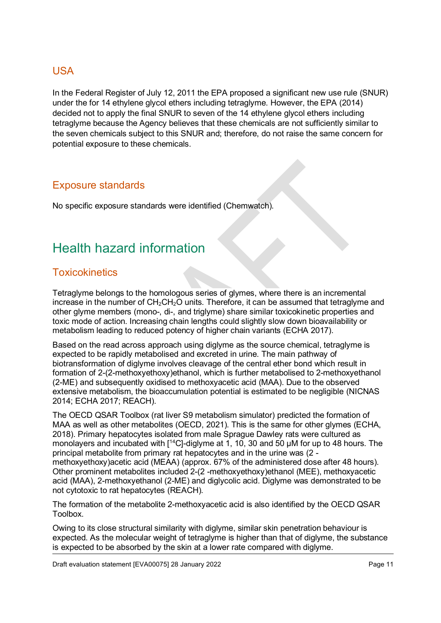### <span id="page-10-0"></span>USA

In the Federal Register of July 12, 2011 the EPA proposed a significant new use rule (SNUR) under the for 14 ethylene glycol ethers including tetraglyme. However, the EPA (2014) decided not to apply the final SNUR to seven of the 14 ethylene glycol ethers including tetraglyme because the Agency believes that these chemicals are not sufficiently similar to the seven chemicals subject to this SNUR and; therefore, do not raise the same concern for potential exposure to these chemicals.

### <span id="page-10-1"></span>Exposure standards

No specific exposure standards were identified (Chemwatch).

## <span id="page-10-2"></span>Health hazard information

### <span id="page-10-3"></span>**Toxicokinetics**

Tetraglyme belongs to the homologous series of glymes, where there is an incremental increase in the number of  $CH_2CH_2O$  units. Therefore, it can be assumed that tetraglyme and other glyme members (mono-, di-, and triglyme) share similar toxicokinetic properties and toxic mode of action. Increasing chain lengths could slightly slow down bioavailability or metabolism leading to reduced potency of higher chain variants (ECHA 2017).

Based on the read across approach using diglyme as the source chemical, tetraglyme is expected to be rapidly metabolised and excreted in urine. The main pathway of biotransformation of diglyme involves cleavage of the central ether bond which result in formation of 2-(2-methoxyethoxy)ethanol, which is further metabolised to 2-methoxyethanol (2-ME) and subsequently oxidised to methoxyacetic acid (MAA). Due to the observed extensive metabolism, the bioaccumulation potential is estimated to be negligible (NICNAS 2014; ECHA 2017; REACH).

The OECD QSAR Toolbox (rat liver S9 metabolism simulator) predicted the formation of MAA as well as other metabolites (OECD, 2021). This is the same for other glymes (ECHA, 2018). Primary hepatocytes isolated from male Sprague Dawley rats were cultured as monolayers and incubated with [<sup>14</sup>C]-diglyme at 1, 10, 30 and 50 µM for up to 48 hours. The principal metabolite from primary rat hepatocytes and in the urine was (2 methoxyethoxy)acetic acid (MEAA) (approx. 67% of the administered dose after 48 hours). Other prominent metabolites included 2-(2 -methoxyethoxy)ethanol (MEE), methoxyacetic acid (MAA), 2-methoxyethanol (2-ME) and diglycolic acid. Diglyme was demonstrated to be not cytotoxic to rat hepatocytes (REACH).

The formation of the metabolite 2-methoxyacetic acid is also identified by the OECD QSAR Toolbox.

Owing to its close structural similarity with diglyme, similar skin penetration behaviour is expected. As the molecular weight of tetraglyme is higher than that of diglyme, the substance is expected to be absorbed by the skin at a lower rate compared with diglyme.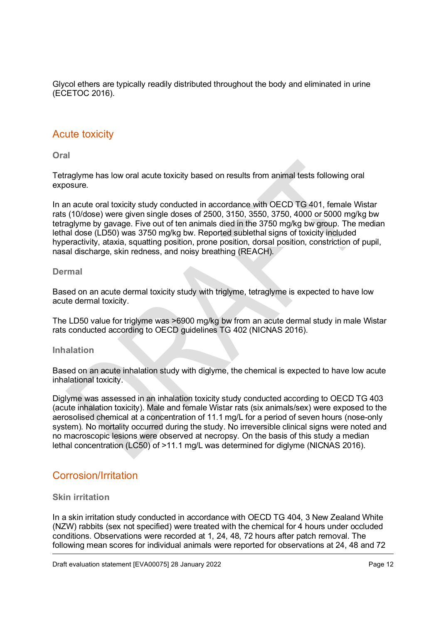Glycol ethers are typically readily distributed throughout the body and eliminated in urine (ECETOC 2016).

#### <span id="page-11-0"></span>Acute toxicity

**Oral**

Tetraglyme has low oral acute toxicity based on results from animal tests following oral exposure.

In an acute oral toxicity study conducted in accordance with OECD TG 401, female Wistar rats (10/dose) were given single doses of 2500, 3150, 3550, 3750, 4000 or 5000 mg/kg bw tetraglyme by gavage. Five out of ten animals died in the 3750 mg/kg bw group. The median lethal dose (LD50) was 3750 mg/kg bw. Reported sublethal signs of toxicity included hyperactivity, ataxia, squatting position, prone position, dorsal position, constriction of pupil, nasal discharge, skin redness, and noisy breathing (REACH).

#### **Dermal**

Based on an acute dermal toxicity study with triglyme, tetraglyme is expected to have low acute dermal toxicity.

The LD50 value for triglyme was >6900 mg/kg bw from an acute dermal study in male Wistar rats conducted according to OECD guidelines TG 402 (NICNAS 2016).

#### **Inhalation**

Based on an acute inhalation study with diglyme, the chemical is expected to have low acute inhalational toxicity.

Diglyme was assessed in an inhalation toxicity study conducted according to OECD TG 403 (acute inhalation toxicity). Male and female Wistar rats (six animals/sex) were exposed to the aerosolised chemical at a concentration of 11.1 mg/L for a period of seven hours (nose-only system). No mortality occurred during the study. No irreversible clinical signs were noted and no macroscopic lesions were observed at necropsy. On the basis of this study a median lethal concentration (LC50) of >11.1 mg/L was determined for diglyme (NICNAS 2016).

### <span id="page-11-1"></span>Corrosion/Irritation

#### **Skin irritation**

In a skin irritation study conducted in accordance with OECD TG 404, 3 New Zealand White (NZW) rabbits (sex not specified) were treated with the chemical for 4 hours under occluded conditions. Observations were recorded at 1, 24, 48, 72 hours after patch removal. The following mean scores for individual animals were reported for observations at 24, 48 and 72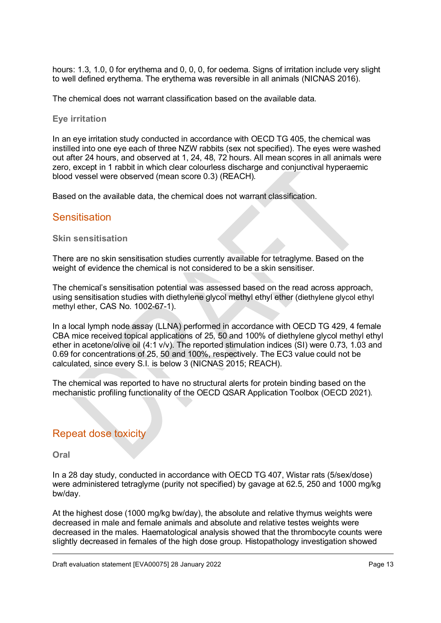hours: 1.3, 1.0, 0 for erythema and 0, 0, 0, for oedema. Signs of irritation include very slight to well defined erythema. The erythema was reversible in all animals (NICNAS 2016).

The chemical does not warrant classification based on the available data.

#### **Eye irritation**

In an eye irritation study conducted in accordance with OECD TG 405, the chemical was instilled into one eye each of three NZW rabbits (sex not specified). The eyes were washed out after 24 hours, and observed at 1, 24, 48, 72 hours. All mean scores in all animals were zero, except in 1 rabbit in which clear colourless discharge and conjunctival hyperaemic blood vessel were observed (mean score 0.3) (REACH).

Based on the available data, the chemical does not warrant classification.

#### <span id="page-12-0"></span>**Sensitisation**

**Skin sensitisation**

There are no skin sensitisation studies currently available for tetraglyme. Based on the weight of evidence the chemical is not considered to be a skin sensitiser.

The chemical's sensitisation potential was assessed based on the read across approach, using sensitisation studies with diethylene glycol methyl ethyl ether (diethylene glycol ethyl methyl ether, CAS No. 1002-67-1).

In a local lymph node assay (LLNA) performed in accordance with OECD TG 429, 4 female CBA mice received topical applications of 25, 50 and 100% of diethylene glycol methyl ethyl ether in acetone/olive oil (4:1 v/v). The reported stimulation indices (SI) were 0.73, 1.03 and 0.69 for concentrations of 25, 50 and 100%, respectively. The EC3 value could not be calculated, since every S.I. is below 3 (NICNAS 2015; REACH).

The chemical was reported to have no structural alerts for protein binding based on the mechanistic profiling functionality of the OECD QSAR Application Toolbox (OECD 2021).

### <span id="page-12-1"></span>Repeat dose toxicity

**Oral**

In a 28 day study, conducted in accordance with OECD TG 407, Wistar rats (5/sex/dose) were administered tetraglyme (purity not specified) by gavage at 62.5, 250 and 1000 mg/kg bw/day.

At the highest dose (1000 mg/kg bw/day), the absolute and relative thymus weights were decreased in male and female animals and absolute and relative testes weights were decreased in the males. Haematological analysis showed that the thrombocyte counts were slightly decreased in females of the high dose group. Histopathology investigation showed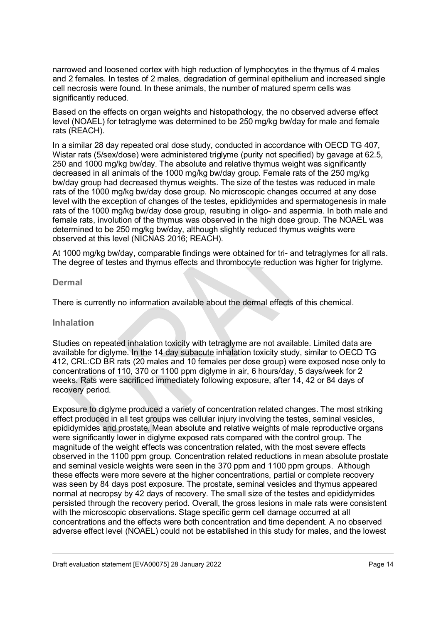narrowed and loosened cortex with high reduction of lymphocytes in the thymus of 4 males and 2 females. In testes of 2 males, degradation of germinal epithelium and increased single cell necrosis were found. In these animals, the number of matured sperm cells was significantly reduced.

Based on the effects on organ weights and histopathology, the no observed adverse effect level (NOAEL) for tetraglyme was determined to be 250 mg/kg bw/day for male and female rats (REACH).

In a similar 28 day repeated oral dose study, conducted in accordance with OECD TG 407, Wistar rats (5/sex/dose) were administered triglyme (purity not specified) by gavage at 62.5, 250 and 1000 mg/kg bw/day. The absolute and relative thymus weight was significantly decreased in all animals of the 1000 mg/kg bw/day group. Female rats of the 250 mg/kg bw/day group had decreased thymus weights. The size of the testes was reduced in male rats of the 1000 mg/kg bw/day dose group. No microscopic changes occurred at any dose level with the exception of changes of the testes, epididymides and spermatogenesis in male rats of the 1000 mg/kg bw/day dose group, resulting in oligo- and aspermia. In both male and female rats, involution of the thymus was observed in the high dose group. The NOAEL was determined to be 250 mg/kg bw/day, although slightly reduced thymus weights were observed at this level (NICNAS 2016; REACH).

At 1000 mg/kg bw/day, comparable findings were obtained for tri- and tetraglymes for all rats. The degree of testes and thymus effects and thrombocyte reduction was higher for triglyme.

#### **Dermal**

There is currently no information available about the dermal effects of this chemical.

#### **Inhalation**

Studies on repeated inhalation toxicity with tetraglyme are not available. Limited data are available for diglyme. In the 14 day subacute inhalation toxicity study, similar to OECD TG 412, CRL:CD BR rats (20 males and 10 females per dose group) were exposed nose only to concentrations of 110, 370 or 1100 ppm diglyme in air, 6 hours/day, 5 days/week for 2 weeks. Rats were sacrificed immediately following exposure, after 14, 42 or 84 days of recovery period.

Exposure to diglyme produced a variety of concentration related changes. The most striking effect produced in all test groups was cellular injury involving the testes, seminal vesicles, epididymides and prostate. Mean absolute and relative weights of male reproductive organs were significantly lower in diglyme exposed rats compared with the control group. The magnitude of the weight effects was concentration related, with the most severe effects observed in the 1100 ppm group. Concentration related reductions in mean absolute prostate and seminal vesicle weights were seen in the 370 ppm and 1100 ppm groups. Although these effects were more severe at the higher concentrations, partial or complete recovery was seen by 84 days post exposure. The prostate, seminal vesicles and thymus appeared normal at necropsy by 42 days of recovery. The small size of the testes and epididymides persisted through the recovery period. Overall, the gross lesions in male rats were consistent with the microscopic observations. Stage specific germ cell damage occurred at all concentrations and the effects were both concentration and time dependent. A no observed adverse effect level (NOAEL) could not be established in this study for males, and the lowest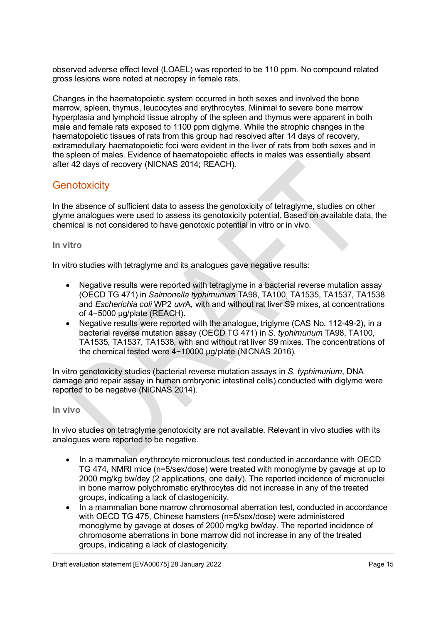observed adverse effect level (LOAEL) was reported to be 110 ppm. No compound related gross lesions were noted at necropsy in female rats.

Changes in the haematopoietic system occurred in both sexes and involved the bone marrow, spleen, thymus, leucocytes and erythrocytes. Minimal to severe bone marrow hyperplasia and lymphoid tissue atrophy of the spleen and thymus were apparent in both male and female rats exposed to 1100 ppm diglyme. While the atrophic changes in the haematopoietic tissues of rats from this group had resolved after 14 days of recovery, extramedullary haematopoietic foci were evident in the liver of rats from both sexes and in the spleen of males. Evidence of haematopoietic effects in males was essentially absent after 42 days of recovery (NICNAS 2014; REACH).

### <span id="page-14-0"></span>**Genotoxicity**

In the absence of sufficient data to assess the genotoxicity of tetraglyme, studies on other glyme analogues were used to assess its genotoxicity potential. Based on available data, the chemical is not considered to have genotoxic potential in vitro or in vivo.

#### **In vitro**

In vitro studies with tetraglyme and its analogues gave negative results:

- Negative results were reported with tetraglyme in a bacterial reverse mutation assay (OECD TG 471) in *Salmonella typhimurium* TA98, TA100, TA1535, TA1537, TA1538 and *Escherichia coli* WP2 *uvr*A, with and without rat liver S9 mixes, at concentrations of 4−5000 µg/plate (REACH).
- Negative results were reported with the analogue, triglyme (CAS No. 112-49-2), in a bacterial reverse mutation assay (OECD TG 471) in *S. typhimurium* TA98, TA100, TA1535, TA1537, TA1538, with and without rat liver S9 mixes. The concentrations of the chemical tested were 4−10000 µg/plate (NICNAS 2016).

In vitro genotoxicity studies (bacterial reverse mutation assays in *S. typhimurium*, DNA damage and repair assay in human embryonic intestinal cells) conducted with diglyme were reported to be negative (NICNAS 2014).

#### **In vivo**

In vivo studies on tetraglyme genotoxicity are not available. Relevant in vivo studies with its analogues were reported to be negative.

- In a mammalian erythrocyte micronucleus test conducted in accordance with OECD TG 474, NMRI mice (n=5/sex/dose) were treated with monoglyme by gavage at up to 2000 mg/kg bw/day (2 applications, one daily). The reported incidence of micronuclei in bone marrow polychromatic erythrocytes did not increase in any of the treated groups, indicating a lack of clastogenicity.
- In a mammalian bone marrow chromosomal aberration test, conducted in accordance with OECD TG 475, Chinese hamsters (n=5/sex/dose) were administered monoglyme by gavage at doses of 2000 mg/kg bw/day. The reported incidence of chromosome aberrations in bone marrow did not increase in any of the treated groups, indicating a lack of clastogenicity.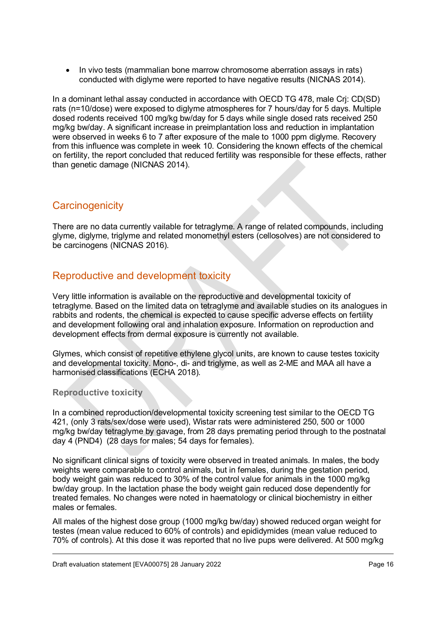• In vivo tests (mammalian bone marrow chromosome aberration assays in rats) conducted with diglyme were reported to have negative results (NICNAS 2014).

In a dominant lethal assay conducted in accordance with OECD TG 478, male Crj: CD(SD) rats (n=10/dose) were exposed to diglyme atmospheres for 7 hours/day for 5 days. Multiple dosed rodents received 100 mg/kg bw/day for 5 days while single dosed rats received 250 mg/kg bw/day. A significant increase in preimplantation loss and reduction in implantation were observed in weeks 6 to 7 after exposure of the male to 1000 ppm diglyme. Recovery from this influence was complete in week 10. Considering the known effects of the chemical on fertility, the report concluded that reduced fertility was responsible for these effects, rather than genetic damage (NICNAS 2014).

### <span id="page-15-0"></span>**Carcinogenicity**

There are no data currently vailable for tetraglyme. A range of related compounds, including glyme, diglyme, triglyme and related monomethyl esters (cellosolves) are not considered to be carcinogens (NICNAS 2016).

### <span id="page-15-1"></span>Reproductive and development toxicity

Very little information is available on the reproductive and developmental toxicity of tetraglyme. Based on the limited data on tetraglyme and available studies on its analogues in rabbits and rodents, the chemical is expected to cause specific adverse effects on fertility and development following oral and inhalation exposure. Information on reproduction and development effects from dermal exposure is currently not available.

Glymes, which consist of repetitive ethylene glycol units, are known to cause testes toxicity and developmental toxicity. Mono-, di- and triglyme, as well as 2-ME and MAA all have a harmonised classifications (ECHA 2018).

#### **Reproductive toxicity**

In a combined reproduction/developmental toxicity screening test similar to the OECD TG 421, (only 3 rats/sex/dose were used), Wistar rats were administered 250, 500 or 1000 mg/kg bw/day tetraglyme by gavage, from 28 days premating period through to the postnatal day 4 (PND4) (28 days for males; 54 days for females).

No significant clinical signs of toxicity were observed in treated animals. In males, the body weights were comparable to control animals, but in females, during the gestation period, body weight gain was reduced to 30% of the control value for animals in the 1000 mg/kg bw/day group. In the lactation phase the body weight gain reduced dose dependently for treated females. No changes were noted in haematology or clinical biochemistry in either males or females.

All males of the highest dose group (1000 mg/kg bw/day) showed reduced organ weight for testes (mean value reduced to 60% of controls) and epididymides (mean value reduced to 70% of controls). At this dose it was reported that no live pups were delivered. At 500 mg/kg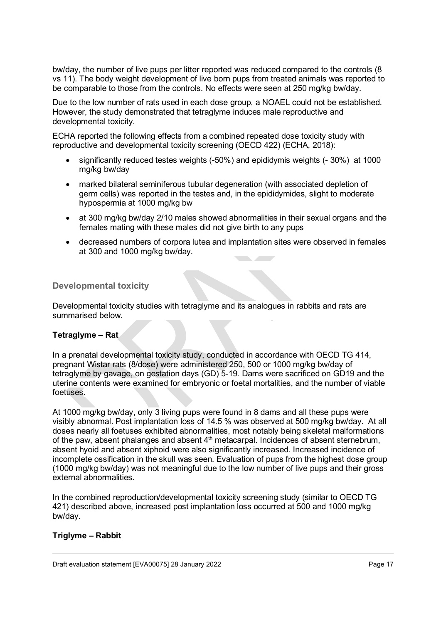bw/day, the number of live pups per litter reported was reduced compared to the controls (8 vs 11). The body weight development of live born pups from treated animals was reported to be comparable to those from the controls. No effects were seen at 250 mg/kg bw/day.

Due to the low number of rats used in each dose group, a NOAEL could not be established. However, the study demonstrated that tetraglyme induces male reproductive and developmental toxicity.

ECHA reported the following effects from a combined repeated dose toxicity study with reproductive and developmental toxicity screening (OECD 422) (ECHA, 2018):

- significantly reduced testes weights (-50%) and epididymis weights (- 30%) at 1000 mg/kg bw/day
- marked bilateral seminiferous tubular degeneration (with associated depletion of germ cells) was reported in the testes and, in the epididymides, slight to moderate hypospermia at 1000 mg/kg bw
- at 300 mg/kg bw/day 2/10 males showed abnormalities in their sexual organs and the females mating with these males did not give birth to any pups
- decreased numbers of corpora lutea and implantation sites were observed in females at 300 and 1000 mg/kg bw/day.

#### **Developmental toxicity**

Developmental toxicity studies with tetraglyme and its analogues in rabbits and rats are summarised below.

#### **Tetraglyme – Rat**

In a prenatal developmental toxicity study, conducted in accordance with OECD TG 414, pregnant Wistar rats (8/dose) were administered 250, 500 or 1000 mg/kg bw/day of tetraglyme by gavage, on gestation days (GD) 5-19. Dams were sacrificed on GD19 and the uterine contents were examined for embryonic or foetal mortalities, and the number of viable foetuses.

At 1000 mg/kg bw/day, only 3 living pups were found in 8 dams and all these pups were visibly abnormal. Post implantation loss of 14.5 % was observed at 500 mg/kg bw/day. At all doses nearly all foetuses exhibited abnormalities, most notably being skeletal malformations of the paw, absent phalanges and absent  $4<sup>th</sup>$  metacarpal. Incidences of absent sternebrum, absent hyoid and absent xiphoid were also significantly increased. Increased incidence of incomplete ossification in the skull was seen. Evaluation of pups from the highest dose group (1000 mg/kg bw/day) was not meaningful due to the low number of live pups and their gross external abnormalities.

In the combined reproduction/developmental toxicity screening study (similar to OECD TG 421) described above, increased post implantation loss occurred at 500 and 1000 mg/kg bw/day.

#### **Triglyme – Rabbit**

Draft evaluation statement [EVA00075] 28 January 2022 **Page 17** November 2022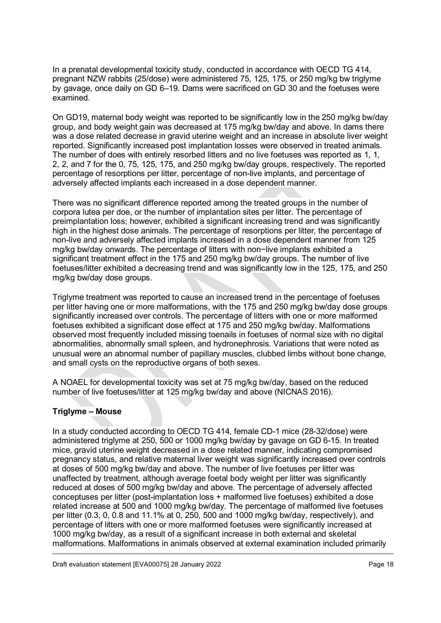In a prenatal developmental toxicity study, conducted in accordance with OECD TG 414, pregnant NZW rabbits (25/dose) were administered 75, 125, 175, or 250 mg/kg bw triglyme by gavage, once daily on GD 6–19. Dams were sacrificed on GD 30 and the foetuses were examined.

On GD19, maternal body weight was reported to be significantly low in the 250 mg/kg bw/day group, and body weight gain was decreased at 175 mg/kg bw/day and above. In dams there was a dose related decrease in gravid uterine weight and an increase in absolute liver weight reported. Significantly increased post implantation losses were observed in treated animals. The number of does with entirely resorbed litters and no live foetuses was reported as 1, 1, 2, 2, and 7 for the 0, 75, 125, 175, and 250 mg/kg bw/day groups, respectively. The reported percentage of resorptions per litter, percentage of non-live implants, and percentage of adversely affected implants each increased in a dose dependent manner.

There was no significant difference reported among the treated groups in the number of corpora lutea per doe, or the number of implantation sites per litter. The percentage of preimplantation loss; however, exhibited a significant increasing trend and was significantly high in the highest dose animals. The percentage of resorptions per litter, the percentage of non-live and adversely affected implants increased in a dose dependent manner from 125 mg/kg bw/day onwards. The percentage of litters with non−live implants exhibited a significant treatment effect in the 175 and 250 mg/kg bw/day groups. The number of live foetuses/litter exhibited a decreasing trend and was significantly low in the 125, 175, and 250 mg/kg bw/day dose groups.

Triglyme treatment was reported to cause an increased trend in the percentage of foetuses per litter having one or more malformations, with the 175 and 250 mg/kg bw/day dose groups significantly increased over controls. The percentage of litters with one or more malformed foetuses exhibited a significant dose effect at 175 and 250 mg/kg bw/day. Malformations observed most frequently included missing toenails in foetuses of normal size with no digital abnormalities, abnormally small spleen, and hydronephrosis. Variations that were noted as unusual were an abnormal number of papillary muscles, clubbed limbs without bone change, and small cysts on the reproductive organs of both sexes.

A NOAEL for developmental toxicity was set at 75 mg/kg bw/day, based on the reduced number of live foetuses/litter at 125 mg/kg bw/day and above (NICNAS 2016).

#### **Triglyme – Mouse**

In a study conducted according to OECD TG 414, female CD-1 mice (28-32/dose) were administered triglyme at 250, 500 or 1000 mg/kg bw/day by gavage on GD 6-15. In treated mice, gravid uterine weight decreased in a dose related manner, indicating compromised pregnancy status, and relative maternal liver weight was significantly increased over controls at doses of 500 mg/kg bw/day and above. The number of live foetuses per litter was unaffected by treatment, although average foetal body weight per litter was significantly reduced at doses of 500 mg/kg bw/day and above. The percentage of adversely affected conceptuses per litter (post-implantation loss + malformed live foetuses) exhibited a dose related increase at 500 and 1000 mg/kg bw/day. The percentage of malformed live foetuses per litter (0.3, 0, 0.8 and 11.1% at 0, 250, 500 and 1000 mg/kg bw/day, respectively), and percentage of litters with one or more malformed foetuses were significantly increased at 1000 mg/kg bw/day, as a result of a significant increase in both external and skeletal malformations. Malformations in animals observed at external examination included primarily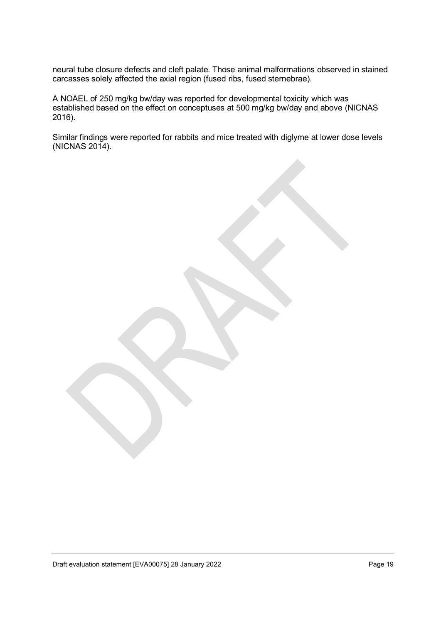neural tube closure defects and cleft palate. Those animal malformations observed in stained carcasses solely affected the axial region (fused ribs, fused sternebrae).

A NOAEL of 250 mg/kg bw/day was reported for developmental toxicity which was established based on the effect on conceptuses at 500 mg/kg bw/day and above (NICNAS 2016).

Similar findings were reported for rabbits and mice treated with diglyme at lower dose levels (NICNAS 2014).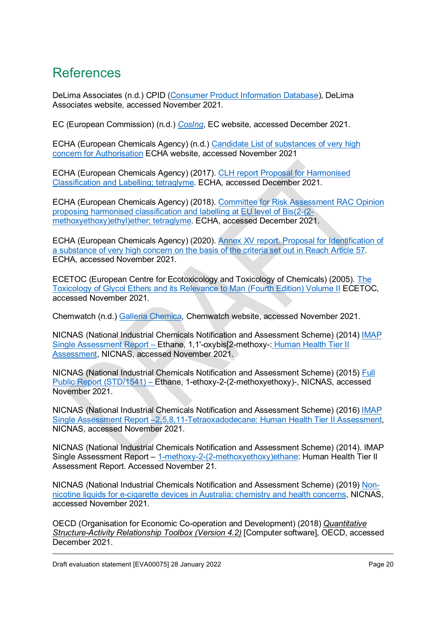## <span id="page-19-0"></span>References

DeLima Associates (n.d.) CPID [\(Consumer Product Information Database\)](https://www.whatsinproducts.com/), DeLima Associates website, accessed November 2021.

EC (European Commission) (n.d.) *[CosIng](https://ec.europa.eu/growth/tools-databases/cosing/index.cfm)*, EC website, accessed December 2021.

ECHA (European Chemicals Agency) (n.d.) [Candidate List of substances of very high](https://echa.europa.eu/candidate-list-table)  [concern for Authorisation](https://echa.europa.eu/candidate-list-table) ECHA website, accessed November 2021

ECHA (European Chemicals Agency) (2017). [CLH report Proposal for](https://echa.europa.eu/registry-of-clh-intentions-until-outcome/-/dislist/details/0b0236e1809d4e02) Harmonised [Classification and Labelling; tetraglyme.](https://echa.europa.eu/registry-of-clh-intentions-until-outcome/-/dislist/details/0b0236e1809d4e02) ECHA, accessed December 2021.

ECHA (European Chemicals Agency) (2018). [Committee for Risk Assessment RAC Opinion](https://echa.europa.eu/registry-of-clh-intentions-until-outcome/-/dislist/details/0b0236e1809d4e02)  [proposing harmonised classification and labelling at EU level of Bis\(2-\(2](https://echa.europa.eu/registry-of-clh-intentions-until-outcome/-/dislist/details/0b0236e1809d4e02) [methoxyethoxy\)ethyl\)ether; tetraglyme.](https://echa.europa.eu/registry-of-clh-intentions-until-outcome/-/dislist/details/0b0236e1809d4e02) ECHA, accessed December 2021.

ECHA (European Chemicals Agency) (2020). [Annex XV report. Proposal for Identification of](https://echa.europa.eu/proposals-to-identify-substances-of-very-high-concern-previous-consultations/-/substance-rev/56002/term?_viewsubstances_WAR_echarevsubstanceportlet_SEARCH_CRITERIA_EC_NUMBER=205-594-7&_viewsubstances_WAR_echarevsubstanceportlet_DISS=true)  [a substance of very high concern on the basis of the criteria set out in Reach Article 57.](https://echa.europa.eu/proposals-to-identify-substances-of-very-high-concern-previous-consultations/-/substance-rev/56002/term?_viewsubstances_WAR_echarevsubstanceportlet_SEARCH_CRITERIA_EC_NUMBER=205-594-7&_viewsubstances_WAR_echarevsubstanceportlet_DISS=true) ECHA, accessed November 2021.

ECETOC (European Centre for Ecotoxicology and Toxicology of Chemicals) (2005). [The](https://www.ecetoc.org/publication/tr-095-vol-ii-the-toxicology-of-glycol-ethers-and-its-relevance-to-man-fourth-edition-volume-ii-substance-profiles/)  [Toxicology of Glycol Ethers and its Relevance to Man \(Fourth Edition\) Volume II](https://www.ecetoc.org/publication/tr-095-vol-ii-the-toxicology-of-glycol-ethers-and-its-relevance-to-man-fourth-edition-volume-ii-substance-profiles/) ECETOC, accessed November 2021.

Chemwatch (n.d.) [Galleria Chemica,](https://jr.chemwatch.net/galleria/) Chemwatch website, accessed November 2021.

NICNAS (National Industrial Chemicals Notification and Assessment Scheme) (2014) [IMAP](https://www.industrialchemicals.gov.au/chemical-information/search-assessments-keywords?keywords=2%2C5%2C8%2C11-Tetraoxadodecane)  Single Assessment Report *–* [Ethane, 1,1'-oxybis\[2-methoxy-:](https://www.industrialchemicals.gov.au/chemical-information/search-assessments-keywords?keywords=2%2C5%2C8%2C11-Tetraoxadodecane) Human Health Tier II [Assessment,](https://www.industrialchemicals.gov.au/chemical-information/search-assessments-keywords?keywords=2%2C5%2C8%2C11-Tetraoxadodecane) NICNAS, accessed November 2021.

NICNAS (National Industrial Chemicals Notification and Assessment Scheme) (2015) [Full](https://www.industrialchemicals.gov.au/chemical-information/search-assessments-keywords?keywords=2%2C5%2C8%2C11-Tetraoxadodecane)  Public Report (STD/1541) *–* [Ethane, 1-ethoxy-2-\(2-methoxyethoxy\)-,](https://www.industrialchemicals.gov.au/chemical-information/search-assessments-keywords?keywords=2%2C5%2C8%2C11-Tetraoxadodecane) NICNAS, accessed November 2021.

NICNAS (National Industrial Chemicals Notification and Assessment Scheme) (2016) [IMAP](https://www.industrialchemicals.gov.au/chemical-information/search-assessments-keywords?keywords=2%2C5%2C8%2C11-Tetraoxadodecane)  Single Assessment Report *–*[2,5,8,11-Tetraoxadodecane: Human Health Tier II Assessment,](https://www.industrialchemicals.gov.au/chemical-information/search-assessments-keywords?keywords=2%2C5%2C8%2C11-Tetraoxadodecane) NICNAS, accessed November 2021.

NICNAS (National Industrial Chemicals Notification and Assessment Scheme) (2014). IMAP Single Assessment Report - [1-methoxy-2-\(2-methoxyethoxy\)ethane:](https://www.industrialchemicals.gov.au/sites/default/files/Ethane%2C%201%2C1%27-oxybis%5B2-methoxy-_Human%20health%20tier%20II%20assessment.pdf) Human Health Tier II Assessment Report. Accessed November 21.

NICNAS (National Industrial Chemicals Notification and Assessment Scheme) (2019) [Non](https://www.industrialchemicals.gov.au/consumers-and-community/e-cigarettes-and-personal-vaporisers)[nicotine liquids for e-cigarette devices in Australia: chemistry and health concerns,](https://www.industrialchemicals.gov.au/consumers-and-community/e-cigarettes-and-personal-vaporisers) NICNAS, accessed November 2021.

OECD (Organisation for Economic Co-operation and Development) (2018) *Quantitative Structure-Activity Relationship Toolbox (Version 4.2)* [Computer software], OECD, accessed December 2021.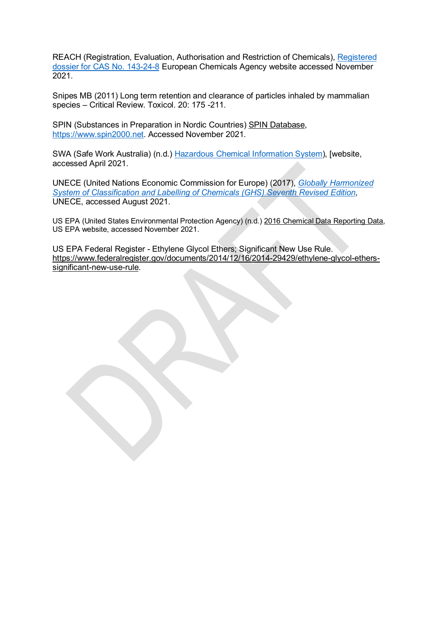REACH (Registration, Evaluation, Authorisation and Restriction of Chemicals), [Registered](https://echa.europa.eu/fr/registration-dossier/-/registered-dossier/14547/3/1/5,)  [dossier for CAS No. 143-24-8](https://echa.europa.eu/fr/registration-dossier/-/registered-dossier/14547/3/1/5,) European Chemicals Agency website accessed November 2021.

Snipes MB (2011) Long term retention and clearance of particles inhaled by mammalian species – Critical Review. Toxicol. 20: 175 -211.

SPIN (Substances in Preparation in Nordic Countries) SPIN Database, [https://www.spin2000.net.](https://www.spin2000.net/) Accessed November 2021.

SWA (Safe Work Australia) (n.d.) [Hazardous Chemical Information System\)](http://hcis.safeworkaustralia.gov.au/HazardousChemical/Details?chemicalID=3165), [website, accessed April 2021.

UNECE (United Nations Economic Commission for Europe) (2017), *[Globally Harmonized](https://unece.org/ghs-rev7-2017)  [System of Classification and Labelling of Chemicals \(GHS\) Seventh Revised Edition](https://unece.org/ghs-rev7-2017)*, UNECE, accessed August 2021.

US EPA (United States Environmental Protection Agency) (n.d.) [2016 Chemical Data Reporting Data,](https://www.epa.gov/chemical-data-reporting/access-cdr-data) US EPA website, accessed November 2021.

US EPA Federal Register - Ethylene Glycol Ethers; Significant New Use Rule. [https://www.federalregister.gov/documents/2014/12/16/2014-29429/ethylene-glycol-ethers](https://www.federalregister.gov/documents/2014/12/16/2014-29429/ethylene-glycol-ethers-significant-new-use-rule)[significant-new-use-rule.](https://www.federalregister.gov/documents/2014/12/16/2014-29429/ethylene-glycol-ethers-significant-new-use-rule)